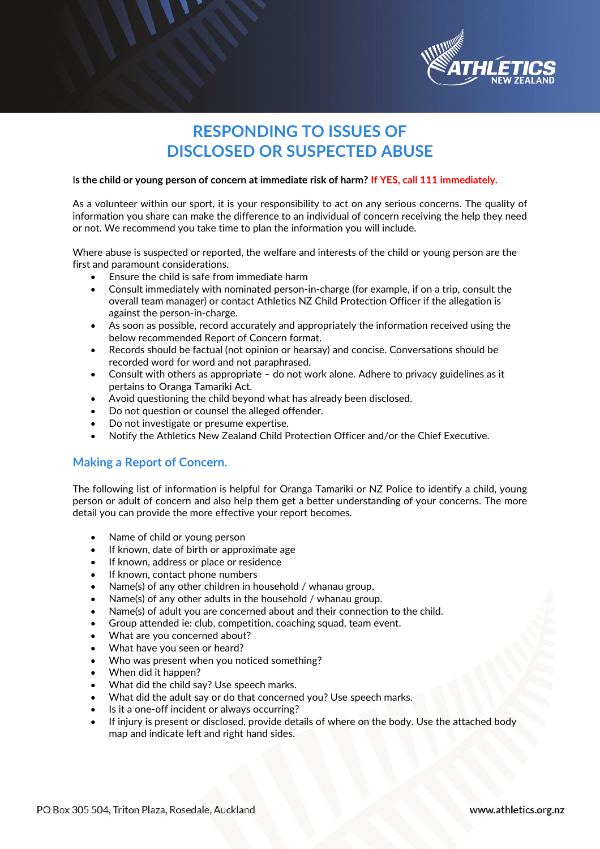

## **RESPONDING TO ISSUES OF DISCLOSED OR SUSPECTED ABUSE**

#### I**s the child or young person of concern at immediate risk of harm? If YES, call 111 immediately.**

As a volunteer within our sport, it is your responsibility to act on any serious concerns. The quality of information you share can make the difference to an individual of concern receiving the help they need or not. We recommend you take time to plan the information you will include.

Where abuse is suspected or reported, the welfare and interests of the child or young person are the first and paramount considerations.

- Ensure the child is safe from immediate harm
- Consult immediately with nominated person-in-charge (for example, if on a trip, consult the overall team manager) or contact Athletics NZ Child Protection Officer if the allegation is against the person-in-charge.
- As soon as possible, record accurately and appropriately the information received using the below recommended Report of Concern format.
- Records should be factual (not opinion or hearsay) and concise. Conversations should be recorded word for word and not paraphrased.
- Consult with others as appropriate do not work alone. Adhere to privacy guidelines as it pertains to Oranga Tamariki Act.
- Avoid questioning the child beyond what has already been disclosed.
- Do not question or counsel the alleged offender.
- Do not investigate or presume expertise.
- Notify the Athletics New Zealand Child Protection Officer and/or the Chief Executive.

### **Making a Report of Concern.**

The following list of information is helpful for Oranga Tamariki or NZ Police to identify a child, young person or adult of concern and also help them get a better understanding of your concerns. The more detail you can provide the more effective your report becomes.

- Name of child or young person
- If known, date of birth or approximate age
- If known, address or place or residence
- If known, contact phone numbers
- Name(s) of any other children in household / whanau group.
- Name(s) of any other adults in the household / whanau group.
- Name(s) of adult you are concerned about and their connection to the child.
- Group attended ie: club, competition, coaching squad, team event.
- What are you concerned about?
- What have you seen or heard?
- Who was present when you noticed something?
- When did it happen?
- What did the child say? Use speech marks.
- What did the adult say or do that concerned you? Use speech marks.
- Is it a one-off incident or always occurring?
- If injury is present or disclosed, provide details of where on the body. Use the attached body map and indicate left and right hand sides.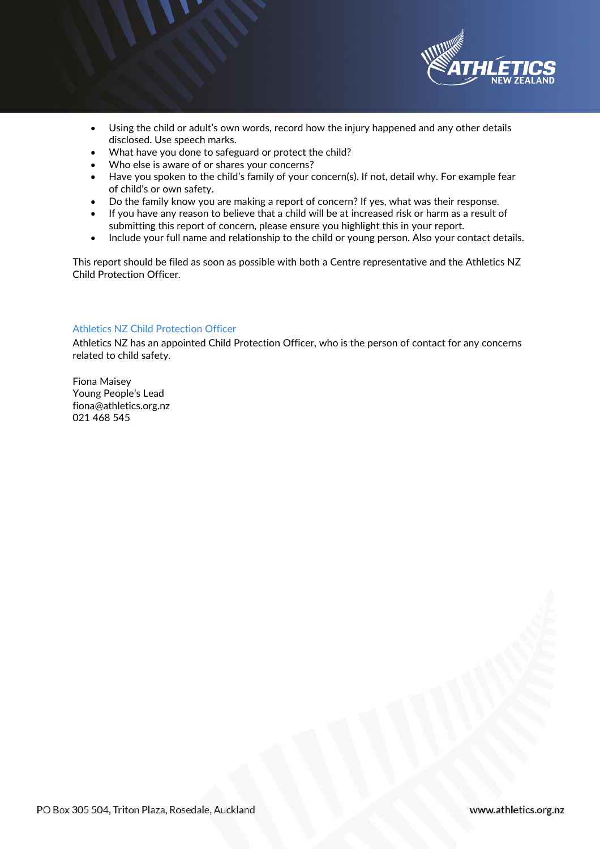

- Using the child or adult's own words, record how the injury happened and any other details disclosed. Use speech marks.
- What have you done to safeguard or protect the child?
- Who else is aware of or shares your concerns?
- Have you spoken to the child's family of your concern(s). If not, detail why. For example fear of child's or own safety.
- 
- Do the family know you are making a report of concern? If yes, what was their response.<br>• If you have any reason to believe that a child will be at increased risk or harm as a result o • If you have any reason to believe that a child will be at increased risk or harm as a result of submitting this report of concern, please ensure you highlight this in your report.
- Include your full name and relationship to the child or young person. Also your contact details.

This report should be filed as soon as possible with both a Centre representative and the Athletics NZ Child Protection Officer.

#### Athletics NZ Child Protection Officer

Athletics NZ has an appointed Child Protection Officer, who is the person of contact for any concerns related to child safety.

Fiona Maisey Young People's Lead fiona@athletics.org.nz 021 468 545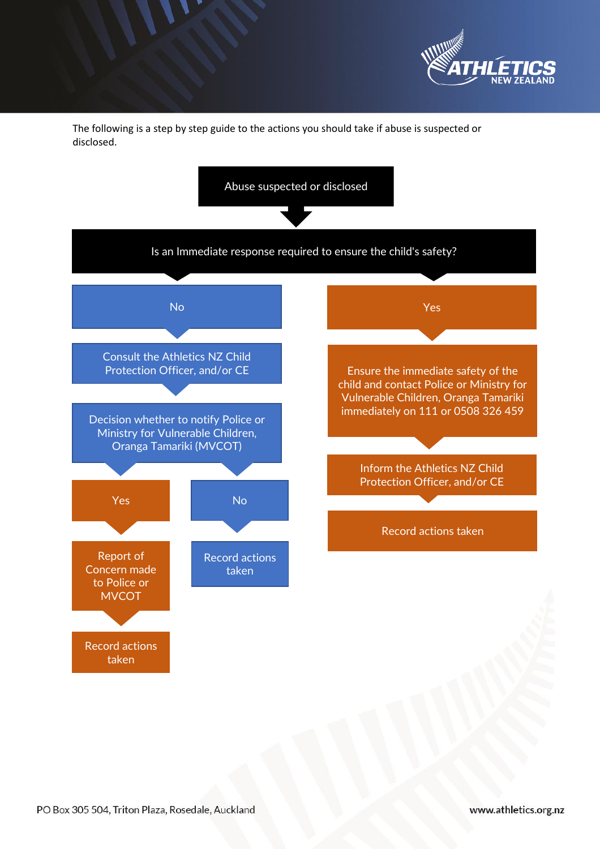

The following is a step by step guide to the actions you should take if abuse is suspected or disclosed.